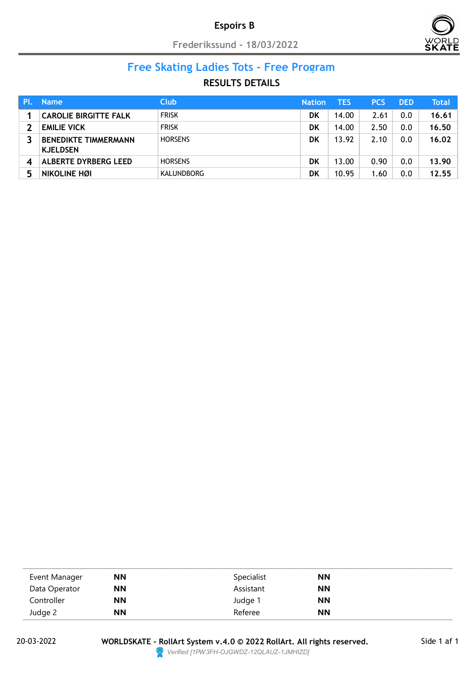## Espoirs B

Frederikssund - 18/03/2022



#### Free Skating Ladies Tots - Free Program Nation TES PCS DED Total

| PI. | <b>Name</b>                                    | <b>Club</b>    | <b>Nation</b> | TES   | <b>PCS</b> | <b>DED</b> | Total |
|-----|------------------------------------------------|----------------|---------------|-------|------------|------------|-------|
|     | <b>CAROLIE BIRGITTE FALK</b>                   | <b>FRISK</b>   | DK            | 14.00 | 2.61       | 0.0        | 16.61 |
|     | <b>EMILIE VICK</b>                             | <b>FRISK</b>   | DK            | 14.00 | 2.50       | 0.0        | 16.50 |
|     | <b>BENEDIKTE TIMMERMANN</b><br><b>KJELDSEN</b> | <b>HORSENS</b> | DK            | 13.92 | 2.10       | 0.0        | 16.02 |
|     | ALBERTE DYRBERG LEED                           | <b>HORSENS</b> | DK            | 13.00 | 0.90       | 0.0        | 13.90 |
| 5   | NIKOLINE HØI                                   | KALUNDBORG     | DK            | 10.95 | 1.60       | 0.0        | 12.55 |

| Event Manager | <b>NN</b> | Specialist | <b>NN</b> |  |
|---------------|-----------|------------|-----------|--|
| Data Operator | <b>NN</b> | Assistant  | <b>NN</b> |  |
| Controller    | <b>NN</b> | Judge 1    | <b>NN</b> |  |
| Judge 2       | <b>NN</b> | Referee    | <b>NN</b> |  |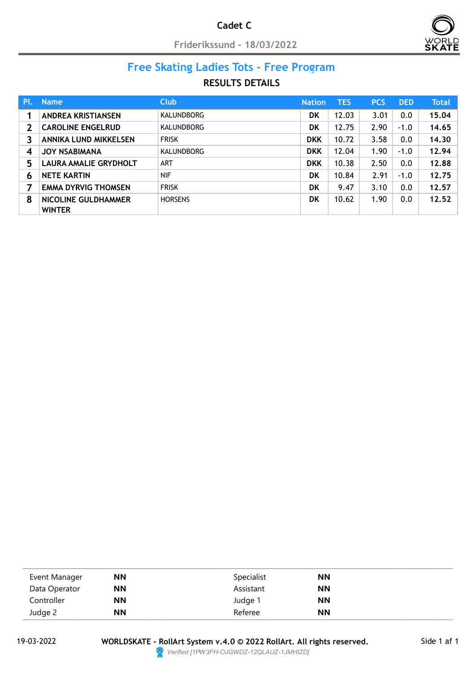## Cadet C

Friderikssund - 18/03/2022



#### Free Skating Ladies Tots - Free Program Nation TES PCS DED Total

| Pl.                        | <b>Name</b>                          | <b>Club</b>       | <b>Nation</b> | <b>TES</b> | <b>PCS</b> | <b>DED</b> | <b>Total</b> |
|----------------------------|--------------------------------------|-------------------|---------------|------------|------------|------------|--------------|
|                            | <b>ANDREA KRISTIANSEN</b>            | <b>KALUNDBORG</b> | <b>DK</b>     | 12.03      | 3.01       | 0.0        | 15.04        |
| $\boldsymbol{\mathcal{P}}$ | <b>CAROLINE ENGELRUD</b>             | <b>KALUNDBORG</b> | DK            | 12.75      | 2.90       | $-1.0$     | 14.65        |
| 3                          | ANNIKA LUND MIKKELSEN                | <b>FRISK</b>      | <b>DKK</b>    | 10.72      | 3.58       | 0.0        | 14.30        |
| 4                          | <b>JOY NSABIMANA</b>                 | <b>KALUNDBORG</b> | <b>DKK</b>    | 12.04      | 1.90       | $-1.0$     | 12.94        |
| 5                          | LAURA AMALIE GRYDHOLT                | ART               | <b>DKK</b>    | 10.38      | 2.50       | 0.0        | 12.88        |
| 6                          | <b>NETE KARTIN</b>                   | <b>NIF</b>        | <b>DK</b>     | 10.84      | 2.91       | $-1.0$     | 12.75        |
|                            | <b>EMMA DYRVIG THOMSEN</b>           | <b>FRISK</b>      | <b>DK</b>     | 9.47       | 3.10       | 0.0        | 12.57        |
| 8                          | NICOLINE GULDHAMMER<br><b>WINTER</b> | <b>HORSENS</b>    | <b>DK</b>     | 10.62      | 1.90       | 0.0        | 12.52        |

| Event Manager | <b>NN</b> | Specialist | <b>NN</b> |
|---------------|-----------|------------|-----------|
| Data Operator | <b>NN</b> | Assistant  | <b>NN</b> |
| Controller    | <b>NN</b> | Judge 1    | <b>NN</b> |
| Judge 2       | <b>NN</b> | Referee    | <b>NN</b> |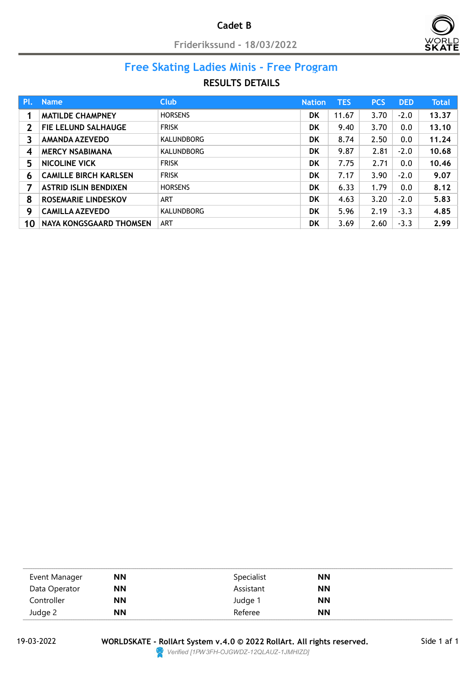

#### Free Skating Ladies Minis - Free Program Nation TES PCS DED Total

## RESULTS DETAILS

| Pl.              | <b>Name</b>                  | <b>Club</b>       | <b>Nation</b> | <b>TES</b> | <b>PCS</b> | <b>DED</b> | <b>Total</b> |
|------------------|------------------------------|-------------------|---------------|------------|------------|------------|--------------|
|                  | <b>MATILDE CHAMPNEY</b>      | <b>HORSENS</b>    | DK            | 11.67      | 3.70       | $-2.0$     | 13,37        |
| $\mathbf 2$      | <b>FIE LELUND SALHAUGE</b>   | <b>FRISK</b>      | DK            | 9.40       | 3.70       | 0.0        | 13.10        |
| 3                | <b>AMANDA AZEVEDO</b>        | <b>KALUNDBORG</b> | DK            | 8.74       | 2.50       | 0.0        | 11.24        |
| $\boldsymbol{4}$ | <b>MERCY NSABIMANA</b>       | <b>KALUNDBORG</b> | DK            | 9.87       | 2.81       | $-2.0$     | 10.68        |
| 5                | <b>NICOLINE VICK</b>         | <b>FRISK</b>      | <b>DK</b>     | 7.75       | 2.71       | 0.0        | 10.46        |
| 6                | <b>CAMILLE BIRCH KARLSEN</b> | <b>FRISK</b>      | DK            | 7.17       | 3.90       | $-2.0$     | 9.07         |
| 7                | <b>ASTRID ISLIN BENDIXEN</b> | <b>HORSENS</b>    | DK            | 6.33       | 1.79       | 0.0        | 8.12         |
| 8                | <b>ROSEMARIE LINDESKOV</b>   | ART               | DK            | 4.63       | 3.20       | $-2.0$     | 5.83         |
| 9                | <b>CAMILLA AZEVEDO</b>       | <b>KALUNDBORG</b> | DK            | 5.96       | 2.19       | $-3.3$     | 4.85         |
| 10               | NAYA KONGSGAARD THOMSEN      | ART               | DK            | 3.69       | 2.60       | $-3.3$     | 2.99         |

| Event Manager | <b>NN</b> | Specialist | <b>NN</b> |  |
|---------------|-----------|------------|-----------|--|
| Data Operator | ΝN        | Assistant  | <b>NN</b> |  |
| Controller    | ΝN        | Judge 1    | <b>NN</b> |  |
| Judge 2       | <b>NN</b> | Referee    | <b>NN</b> |  |

WORLDSKATE - RollArt System v.4.0 © 2022 RollArt. All rights reserved. 19-03-2022 Side 1 af 1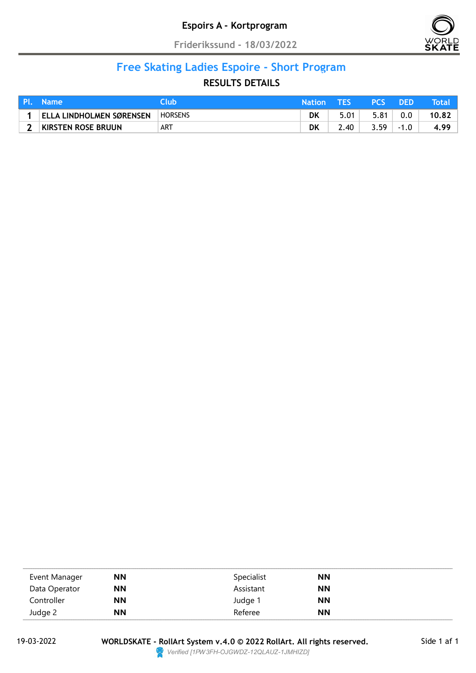

# Free Skating Ladies Espoire - Short Program

| Pl. . | <b>Name</b>                     | lub            | <b>Nation</b> |      | <b>PCS</b> | DED     | Total |
|-------|---------------------------------|----------------|---------------|------|------------|---------|-------|
|       | <b>ELLA LINDHOLMEN SØRENSEN</b> | <b>HORSENS</b> | DK            | 5.01 | 5.81       | $0.0\,$ | 10.82 |
|       | KIRSTEN ROSE BRUUN              | ART            | DK            | 2.40 | 3.59       | $-1.0$  | 4.99  |

| Event Manager | <b>NN</b> | Specialist | <b>NN</b> |  |
|---------------|-----------|------------|-----------|--|
| Data Operator | <b>NN</b> | Assistant  | <b>NN</b> |  |
| Controller    | <b>NN</b> | Judge 1    | <b>NN</b> |  |
| Judge 2       | <b>NN</b> | Referee    | <b>NN</b> |  |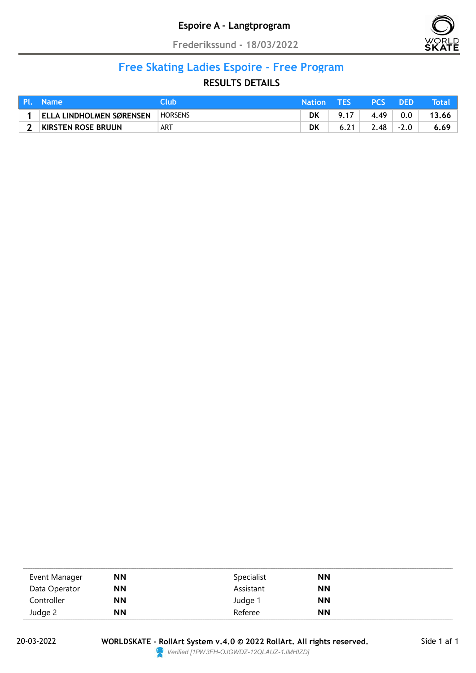

# Free Skating Ladies Espoire - Free Program

| I PL. | <b>Name</b>                     | lub            | <b>Nation</b> |      | <b>PCS</b> | <b>IDED</b> | Total |
|-------|---------------------------------|----------------|---------------|------|------------|-------------|-------|
|       | <b>ELLA LINDHOLMEN SØRENSEN</b> | <b>HORSENS</b> | DK            | 9.17 | 4.49       | $0.0\,$     | 13.66 |
|       | KIRSTEN ROSE BRUUN              | ART            | DK            |      | 2.48       | $-2.0$      | 6.69  |

| Event Manager | <b>NN</b> | Specialist | <b>NN</b> |  |
|---------------|-----------|------------|-----------|--|
| Data Operator | ΝN        | Assistant  | <b>NN</b> |  |
| Controller    | <b>NN</b> | Judge 1    | <b>NN</b> |  |
| Judge 2       | <b>NN</b> | Referee    | <b>NN</b> |  |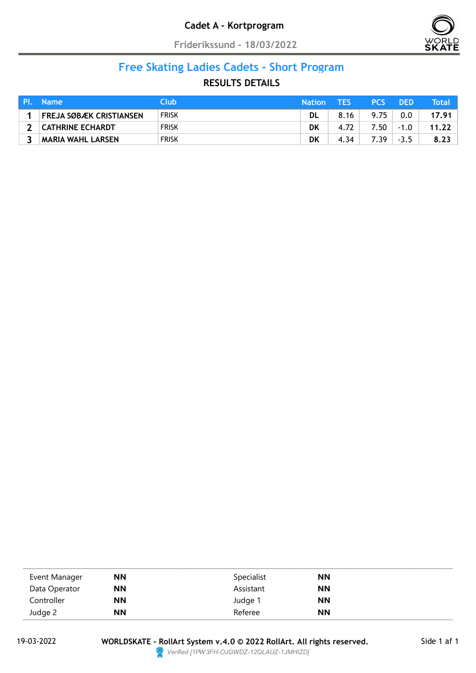

# Free Skating Ladies Cadets - Short Program

| Pl. | <b>Name</b>              | Club         | <b>Nation</b> | TFS  | <b>PCS</b> | DED    | <b>Total</b> |
|-----|--------------------------|--------------|---------------|------|------------|--------|--------------|
|     | FREJA SØBÆK CRISTIANSEN  | <b>FRISK</b> | DL            | 8.16 | 9.75       | 0.0    | 17.91        |
|     | CATHRINE ECHARDT         | <b>FRISK</b> | DK            | 4.72 | 7.50       | $-1.0$ | 11.22        |
|     | <b>MARIA WAHL LARSEN</b> | <b>FRISK</b> | DK            | 4.34 | 7.39       | $-3.5$ | 8.23         |

| Event Manager | <b>NN</b> | Specialist | <b>NN</b> |  |
|---------------|-----------|------------|-----------|--|
| Data Operator | <b>NN</b> | Assistant  | <b>NN</b> |  |
| Controller    | <b>NN</b> | Judge 1    | <b>NN</b> |  |
| Judge 2       | <b>NN</b> | Referee    | <b>NN</b> |  |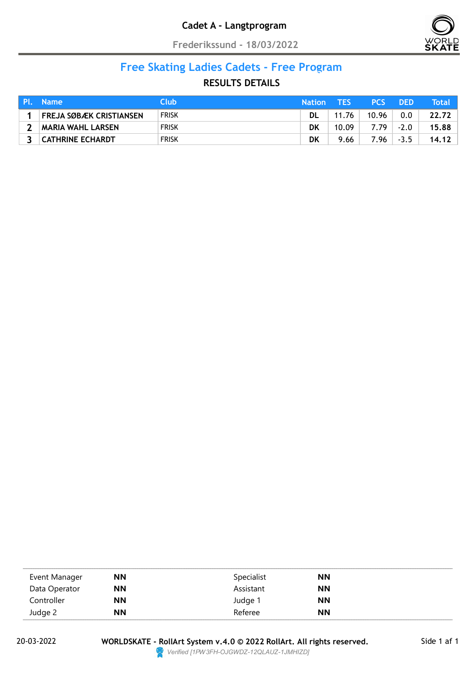

#### Free Skating Ladies Cadets - Free Program Nation Test Property and the Second Property of the Second Property and the Second Property of the Second Property and the Second Property and the Second Property and the Second Property and the Second Property and the Sec

| Pl. | <b>Name</b>              | Club         | <b>Nation</b> | TFS   | <b>PCS</b> | DED    | Total |
|-----|--------------------------|--------------|---------------|-------|------------|--------|-------|
|     | FREJA SØBÆK CRISTIANSEN  | <b>FRISK</b> | <b>DL</b>     | 11.76 | 10.96      | 0.0    | 22.72 |
|     | <b>MARIA WAHL LARSEN</b> | <b>FRISK</b> | DK            | 10.09 | 7.79       | $-2.0$ | 15.88 |
|     | CATHRINE ECHARDT         | <b>FRISK</b> | DK            | 9.66  | 7.96       | $-3.5$ | 14.12 |

| Event Manager | <b>NN</b> | Specialist | <b>NN</b> |  |
|---------------|-----------|------------|-----------|--|
| Data Operator | <b>NN</b> | Assistant  | <b>NN</b> |  |
| Controller    | <b>NN</b> | Judge 1    | <b>NN</b> |  |
| Judge 2       | <b>NN</b> | Referee    | <b>NN</b> |  |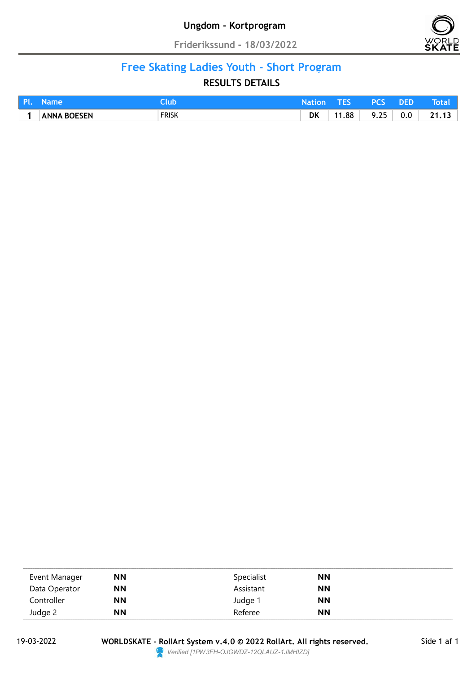![](_page_7_Picture_2.jpeg)

#### Free Skating Ladies Youth - Short Program nation Test Department of the United Test Department of the United Test Department of the United Test Department of the United Test Department of the United Test Department of the United Test Department of the United Test

| I PI |                    | ut           | $H_2$ tion |       | pro              | DED |                                |
|------|--------------------|--------------|------------|-------|------------------|-----|--------------------------------|
|      | <b>ANNA BOESEN</b> | <b>FRISK</b> | <b>DK</b>  | 11.88 | 25<br>Q<br>ر _ ر | 0.0 | 24<br>$\overline{\phantom{a}}$ |

| Event Manager | <b>NN</b> | Specialist | <b>NN</b> |
|---------------|-----------|------------|-----------|
| Data Operator | <b>NN</b> | Assistant  | <b>NN</b> |
| Controller    | <b>NN</b> | Judge 1    | <b>NN</b> |
| Judge 2       | <b>NN</b> | Referee    | <b>NN</b> |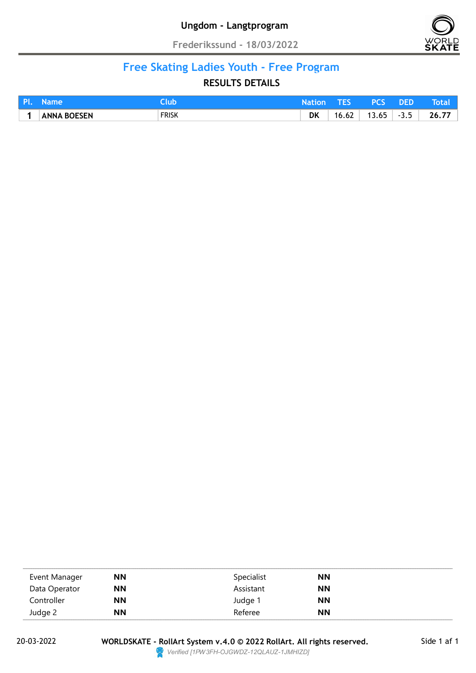![](_page_8_Picture_2.jpeg)

#### Free Skating Ladies Youth - Free Program nation Test Department of the United Test Department of the United Test Department of the United Test Department of the United Test Department of the United Test Department of the United Test Department of the United Test

|                    | ur           |    |                                   |                                                     | <b>DEL</b> |          |
|--------------------|--------------|----|-----------------------------------|-----------------------------------------------------|------------|----------|
| <b>ANNA BOESEN</b> | <b>FRISK</b> | DK | $\overline{\phantom{a}}$<br>16.62 | $\epsilon$ .<br>$\overline{\phantom{a}}$<br>n.<br>. | $-35$<br>  | --<br>76 |

| Event Manager | <b>NN</b> | Specialist | <b>NN</b> |
|---------------|-----------|------------|-----------|
| Data Operator | <b>NN</b> | Assistant  | <b>NN</b> |
| Controller    | <b>NN</b> | Judge 1    | <b>NN</b> |
| Judge 2       | <b>NN</b> | Referee    | <b>NN</b> |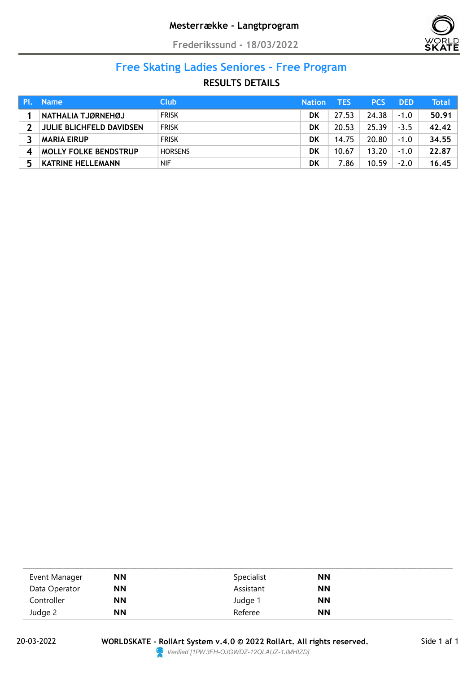![](_page_9_Picture_2.jpeg)

# Free Skating Ladies Seniores - Free Program

| <b>Name</b>                     | <b>Club</b>    | <b>Nation</b> | TES   | <b>PCS</b> | <b>DED</b> | Total |
|---------------------------------|----------------|---------------|-------|------------|------------|-------|
| NATHALIA TJØRNEHØJ              | <b>FRISK</b>   | DK            | 27.53 | 24.38      | $-1.0$     | 50.91 |
| <b>JULIE BLICHFELD DAVIDSEN</b> | <b>FRISK</b>   | DK            | 20.53 | 25.39      | $-3.5$     | 42.42 |
| <b>MARIA EIRUP</b>              | <b>FRISK</b>   | DK            | 14.75 | 20.80      | $-1.0$     | 34.55 |
| <b>MOLLY FOLKE BENDSTRUP</b>    | <b>HORSENS</b> | DK            | 10.67 | 13.20      | $-1.0$     | 22.87 |
| <b>KATRINE HELLEMANN</b>        | <b>NIF</b>     | DK            | 7.86  | 10.59      | $-2.0$     | 16.45 |

| Event Manager | <b>NN</b> | Specialist | <b>NN</b> |  |
|---------------|-----------|------------|-----------|--|
| Data Operator | <b>NN</b> | Assistant  | <b>NN</b> |  |
| Controller    | <b>NN</b> | Judge 1    | <b>NN</b> |  |
| Judge 2       | <b>NN</b> | Referee    | <b>NN</b> |  |